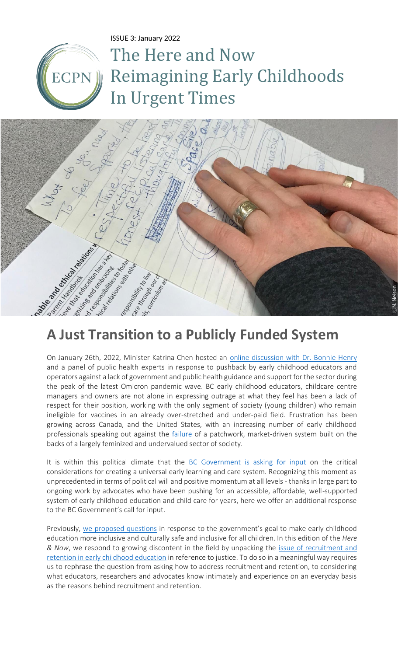ISSUE 3: January 2022

**ECPN** 

# The Here and Now Reimagining Early Childhoods In Urgent Times



## **A Just Transition to a Publicly Funded System**

On January 26th, 2022, Minister Katrina Chen hosted an [online discussion with Dr. Bonnie Henry](https://www.youtube.com/watch?v=QdSg6ugsW9k) and a panel of public health experts in response to pushback by early childhood educators and operators against a lack of government and public health guidance and support for the sector during the peak of the latest Omicron pandemic wave. BC early childhood educators, childcare centre managers and owners are not alone in expressing outrage at what they feel has been a lack of respect for their position, working with the only segment of society (young children) who remain ineligible for vaccines in an already over-stretched and under-paid field. Frustration has been growing across Canada, and the United States, with an increasing number of early childhood professionals speaking out against the *failure* of a patchwork, market-driven system built on the backs of a largely feminized and undervalued sector of society.

It is within this political climate that the [BC Government is asking for input](https://www2.gov.bc.ca/gov/content/family-social-supports/caring-for-young-children/childcarebc-engagement) on the critical considerations for creating a universal early learning and care system. Recognizing this moment as unprecedented in terms of political will and positive momentum at all levels - thanks in large part to ongoing work by advocates who have been pushing for an accessible, affordable, well-supported system of early childhood education and child care for years, here we offer an additional response to the BC Government's call for input.

Previously, [we proposed questions](https://www.ecpn.ca/application/files/2416/4021/5784/ISSUE_2.pdf) in response to the government's goal to make early childhood education more inclusive and culturally safe and inclusive for all children. In this edition of the *Here & Now*, we respond to growing discontent in the field by unpacking the [issue of recruitment and](https://www2.gov.bc.ca/assets/gov/family-and-social-supports/child-care/6337_earlycareandlearningrecruitment_andretentionstrategy_report_web.pdf)  [retention in early childhood education](https://www2.gov.bc.ca/assets/gov/family-and-social-supports/child-care/6337_earlycareandlearningrecruitment_andretentionstrategy_report_web.pdf) in reference to justice. To do so in a meaningful way requires us to rephrase the question from asking how to address recruitment and retention, to considering what educators, researchers and advocates know intimately and experience on an everyday basis as the reasons behind recruitment and retention.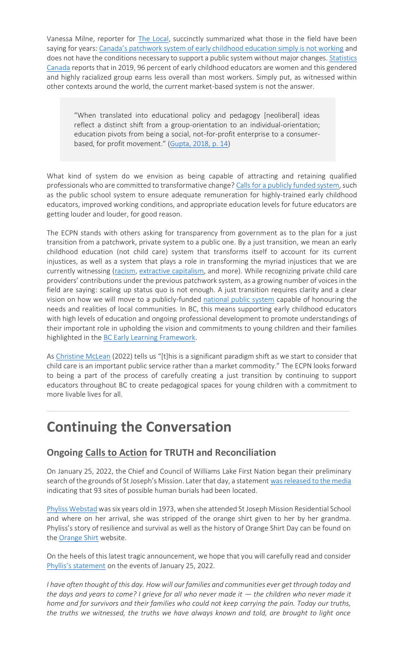Vanessa Milne, reporter for [The Local,](https://thelocal.to/) succinctly summarized what those in the field have been saying for years: [Canada's patchwork system of early childhood education simply is not working](https://thelocal.to/childcare-is-an-essential-service-and-a-dysfunctional-business/) and does not have the conditions necessary to support a public system without major changes[. Statistics](https://www150.statcan.gc.ca/n1/daily-quotidien/210625/dq210625a-eng.htm)  [Canada](https://www150.statcan.gc.ca/n1/daily-quotidien/210625/dq210625a-eng.htm) reports that in 2019, 96 percent of early childhood educators are women and this gendered and highly racialized group earns less overall than most workers. Simply put, as witnessed within other contexts around the world, the current market-based system is not the answer.

"When translated into educational policy and pedagogy [neoliberal] ideas reflect a distinct shift from a group-orientation to an individual-orientation; education pivots from being a social, not-for-profit enterprise to a consumerbased, for profit movement." [\(Gupta, 2018, p. 14\)](https://journals.sagepub.com/doi/full/10.1177/1478210317715796)

What kind of system do we envision as being capable of attracting and retaining qualified professionals who are committed to transformative change? [Calls for a publicly funded system,](https://www.cbc.ca/listen/live-radio/1-91-the-early-edition/clip/15890267-early-childhood-educator-challenges) such as the public school system to ensure adequate remuneration for highly-trained early childhood educators, improved working conditions, and appropriate education levels for future educators are getting louder and louder, for good reason.

The ECPN stands with others asking for transparency from government as to the plan for a just transition from a patchwork, private system to a public one. By a just transition, we mean an early childhood education (not child care) system that transforms itself to account for its current injustices, as well as a system that plays a role in transforming the myriad injustices that we are currently witnessing [\(racism,](https://www.youtube.com/watch?v=G534kmgEiYA) [extractive capitalism,](https://thenarwhal.ca/bc-mining-indigenous-consent-undrip/) and more). While recognizing private child care providers' contributions under the previous patchwork system, as a growing number of voices in the field are saying: scaling up status quo is not enough. A just transition requires clarity and a clear vision on how we will move to a publicly-funded [national public system](https://pm.gc.ca/en/mandate-letters/2021/12/16/minister-families-children-and-social-development-mandate-letter) capable of honouring the needs and realities of local communities. In BC, this means supporting early childhood educators with high levels of education and ongoing professional development to promote understandings of their important role in upholding the vision and commitments to young children and their families highlighted in the **BC Early Learning Framework**.

As [Christine McLean](https://www.saltwire.com/atlantic-canada/opinion/christine-mclean-nova-scotias-transition-to-publicly-funded-child-care-will-be-worth-it-100683122/) (2022) tells us "[t]his is a significant paradigm shift as we start to consider that child care is an important public service rather than a market commodity." The ECPN looks forward to being a part of the process of carefully creating a just transition by continuing to support educators throughout BC to create pedagogical spaces for young children with a commitment to more livable lives for all.

### **Continuing the Conversation**

#### **Ongoing [Calls to Action](https://www2.gov.bc.ca/assets/gov/british-columbians-our-governments/indigenous-people/aboriginal-peoples-documents/calls_to_action_english2.pdf) for TRUTH and Reconciliation**

On January 25, 2022, the Chief and Council of Williams Lake First Nation began their preliminary search of the grounds of St Joseph's Mission. Later that day, a statement [was released](https://www.cbc.ca/news/canada/british-columbia/williams-lake-st-josephs-residential-school-1.6326467) to the media indicating that 93 sites of possible human burials had been located.

[Phyliss Webstad](https://www.orangeshirtday.org/phyllis-story.html) was six years old in 1973, when she attended St Joseph Mission Residential School and where on her arrival, she was stripped of the orange shirt given to her by her grandma. Phyliss's story of resilience and survival as well as the history of Orange Shirt Day can be found on the **Orange Shirt** website.

On the heels of this latest tragic announcement, we hope that you will carefully read and consider [Phyllis's statement](https://www.vernonmorningstar.com/news/live-williams-lake-first-nation-reveals-findings-in-residential-school-unmarked-graves-probe/) on the events of January 25, 2022.

*I have often thought of this day. How will our families and communities ever get through today and the days and years to come? I grieve for all who never made it — the children who never made it home and for survivors and their families who could not keep carrying the pain. Today our truths, the truths we witnessed, the truths we have always known and told, are brought to light once*